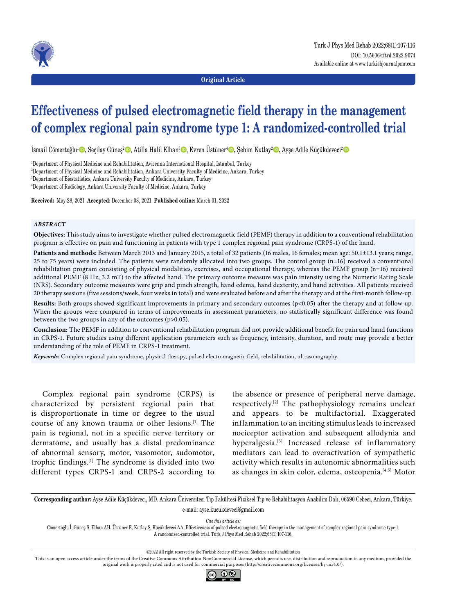

**Original Article**

# **Effectiveness of pulsed electromagnetic field therapy in the management of complex regional pain syndrome type 1: A randomized-controlled trial**

İsmail Cömertoğlu<sup>1</sup>©, Seçilay Güneş<sup>2</sup>©, Atilla Halil Elhan<sup>3</sup>©, Evren Üstüner<sup>4</sup>©, Şehim Kutlay<sup>2</sup>©, Ayşe Adile Küçükdeveci<sup>2</sup>©

1 Department of Physical Medicine and Rehabilitation, Avicenna International Hospital, Istanbul, Turkey

2 Department of Physical Medicine and Rehabilitation, Ankara University Faculty of Medicine, Ankara, Turkey

3 Department of Biostatistics, Ankara University Faculty of Medicine, Ankara, Turkey

4 Department of Radiology, Ankara University Faculty of Medicine, Ankara, Turkey

**Received:** May 28, 2021 **Accepted:** December 08, 2021 **Published online:** March 01, 2022

#### *ABSTRACT*

**Objectives:** This study aims to investigate whether pulsed electromagnetic field (PEMF) therapy in addition to a conventional rehabilitation program is effective on pain and functioning in patients with type 1 complex regional pain syndrome (CRPS-1) of the hand.

**Patients and methods:** Between March 2013 and January 2015, a total of 32 patients (16 males, 16 females; mean age: 50.1±13.1 years; range, 25 to 75 years) were included. The patients were randomly allocated into two groups. The control group (n=16) received a conventional rehabilitation program consisting of physical modalities, exercises, and occupational therapy, whereas the PEMF group (n=16) received additional PEMF (8 Hz, 3.2 mT) to the affected hand. The primary outcome measure was pain intensity using the Numeric Rating Scale (NRS). Secondary outcome measures were grip and pinch strength, hand edema, hand dexterity, and hand activities. All patients received 20 therapy sessions (five sessions/week, four weeks in total) and were evaluated before and after the therapy and at the first-month follow-up.

**Results:** Both groups showed significant improvements in primary and secondary outcomes (p<0.05) after the therapy and at follow-up. When the groups were compared in terms of improvements in assessment parameters, no statistically significant difference was found between the two groups in any of the outcomes (p>0.05).

**Conclusion:** The PEMF in addition to conventional rehabilitation program did not provide additional benefit for pain and hand functions in CRPS-1. Future studies using different application parameters such as frequency, intensity, duration, and route may provide a better understanding of the role of PEMF in CRPS-1 treatment.

*Keywords:* Complex regional pain syndrome, physical therapy, pulsed electromagnetic field, rehabilitation, ultrasonography.

Complex regional pain syndrome (CRPS) is characterized by persistent regional pain that is disproportionate in time or degree to the usual course of any known trauma or other lesions.[1] The pain is regional, not in a specific nerve territory or dermatome, and usually has a distal predominance of abnormal sensory, motor, vasomotor, sudomotor, trophic findings.[1] The syndrome is divided into two different types CRPS-1 and CRPS-2 according to the absence or presence of peripheral nerve damage, respectively.[2] The pathophysiology remains unclear and appears to be multifactorial. Exaggerated inflammation to an inciting stimulus leads to increased nociceptor activation and subsequent allodynia and hyperalgesia.<sup>[3]</sup> Increased release of inflammatory mediators can lead to overactivation of sympathetic activity which results in autonomic abnormalities such as changes in skin color, edema, osteopenia.[4,5] Motor

**Corresponding author:** Ayşe Adile Küçükdeveci, MD. Ankara Üniversitesi Tıp Fakültesi Fiziksel Tıp ve Rehabilitasyon Anabilim Dalı, 06590 Cebeci, Ankara, Türkiye. e-mail: ayse.kucukdeveci@gmail.com

*Cite this article as:*

Cömertoğlu İ, Güneş S, Elhan AH, Üstüner E, Kutlay Ş, Küçükdeveci AA. Effectiveness of pulsed electromagnetic field therapy in the management of complex regional pain syndrome type 1: A randomized-controlled trial. Turk J Phys Med Rehab 2022;68(1):107-116.

©2022 All right reserved by the Turkish Society of Physical Medicine and Rehabilitation

This is an open access article under the terms of the Creative Commons Attribution-NonCommercial License, which permits use, distribution and reproduction in any medium, provided the original work is properly cited and is not used for commercial purposes (http://creativecommons.org/licenses/by-nc/4.0/).

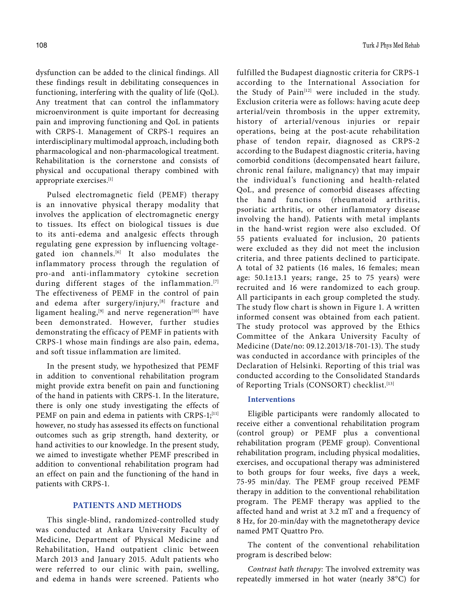dysfunction can be added to the clinical findings. All these findings result in debilitating consequences in functioning, interfering with the quality of life (QoL). Any treatment that can control the inflammatory microenvironment is quite important for decreasing pain and improving functioning and QoL in patients with CRPS-1. Management of CRPS-1 requires an interdisciplinary multimodal approach, including both pharmacological and non-pharmacological treatment. Rehabilitation is the cornerstone and consists of physical and occupational therapy combined with appropriate exercises.[1]

Pulsed electromagnetic field (PEMF) therapy is an innovative physical therapy modality that involves the application of electromagnetic energy to tissues. Its effect on biological tissues is due to its anti-edema and analgesic effects through regulating gene expression by influencing voltagegated ion channels.<sup>[6]</sup> It also modulates the inflammatory process through the regulation of pro-and anti-inflammatory cytokine secretion during different stages of the inflammation.<sup>[7]</sup> The effectiveness of PEMF in the control of pain and edema after surgery/injury,<sup>[8]</sup> fracture and ligament healing,  $[9]$  and nerve regeneration<sup>[10]</sup> have been demonstrated. However, further studies demonstrating the efficacy of PEMF in patients with CRPS-1 whose main findings are also pain, edema, and soft tissue inflammation are limited.

In the present study, we hypothesized that PEMF in addition to conventional rehabilitation program might provide extra benefit on pain and functioning of the hand in patients with CRPS-1. In the literature, there is only one study investigating the effects of PEMF on pain and edema in patients with CRPS-1;<sup>[11]</sup> however, no study has assessed its effects on functional outcomes such as grip strength, hand dexterity, or hand activities to our knowledge. In the present study, we aimed to investigate whether PEMF prescribed in addition to conventional rehabilitation program had an effect on pain and the functioning of the hand in patients with CRPS-1.

## **PATIENTS AND METHODS**

This single-blind, randomized-controlled study was conducted at Ankara University Faculty of Medicine, Department of Physical Medicine and Rehabilitation, Hand outpatient clinic between March 2013 and January 2015. Adult patients who were referred to our clinic with pain, swelling, and edema in hands were screened. Patients who

fulfilled the Budapest diagnostic criteria for CRPS-1 according to the International Association for the Study of Pain<sup>[12]</sup> were included in the study. Exclusion criteria were as follows: having acute deep arterial/vein thrombosis in the upper extremity, history of arterial/venous injuries or repair operations, being at the post-acute rehabilitation phase of tendon repair, diagnosed as CRPS-2 according to the Budapest diagnostic criteria, having comorbid conditions (decompensated heart failure, chronic renal failure, malignancy) that may impair the individual's functioning and health-related QoL, and presence of comorbid diseases affecting the hand functions (rheumatoid arthritis, psoriatic arthritis, or other inflammatory disease involving the hand). Patients with metal implants in the hand-wrist region were also excluded. Of 55 patients evaluated for inclusion, 20 patients were excluded as they did not meet the inclusion criteria, and three patients declined to participate. A total of 32 patients (16 males, 16 females; mean age:  $50.1 \pm 13.1$  years; range, 25 to 75 years) were recruited and 16 were randomized to each group. All participants in each group completed the study. The study flow chart is shown in Figure 1. A written informed consent was obtained from each patient. The study protocol was approved by the Ethics Committee of the Ankara University Faculty of Medicine (Date/no: 09.12.2013/18-701-13). The study was conducted in accordance with principles of the Declaration of Helsinki. Reporting of this trial was conducted according to the Consolidated Standards of Reporting Trials (CONSORT) checklist.<sup>[13]</sup>

# **Interventions**

Eligible participants were randomly allocated to receive either a conventional rehabilitation program (control group) or PEMF plus a conventional rehabilitation program (PEMF group). Conventional rehabilitation program, including physical modalities, exercises, and occupational therapy was administered to both groups for four weeks, five days a week, 75-95 min/day. The PEMF group received PEMF therapy in addition to the conventional rehabilitation program. The PEMF therapy was applied to the affected hand and wrist at 3.2 mT and a frequency of 8 Hz, for 20-min/day with the magnetotherapy device named PMT Quattro Pro.

The content of the conventional rehabilitation program is described below:

*Contrast bath therapy:* The involved extremity was repeatedly immersed in hot water (nearly 38°C) for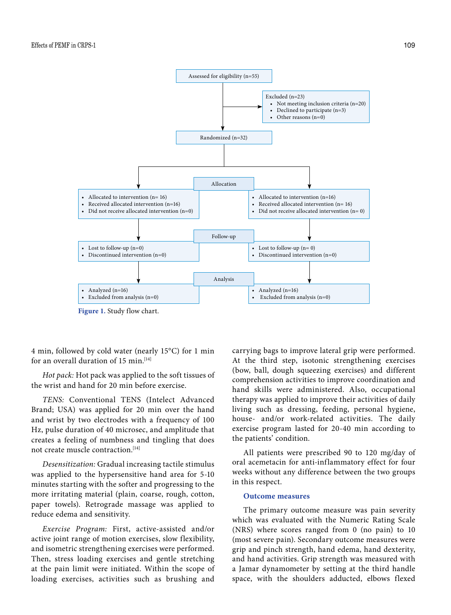

**Figure 1.** Study flow chart.

4 min, followed by cold water (nearly 15°C) for 1 min for an overall duration of 15 min.<sup>[14]</sup>

*Hot pack:* Hot pack was applied to the soft tissues of the wrist and hand for 20 min before exercise.

*TENS:* Conventional TENS (Intelect Advanced Brand; USA) was applied for 20 min over the hand and wrist by two electrodes with a frequency of 100 Hz, pulse duration of 40 microsec, and amplitude that creates a feeling of numbness and tingling that does not create muscle contraction.[14]

*Desensitization:* Gradual increasing tactile stimulus was applied to the hypersensitive hand area for 5-10 minutes starting with the softer and progressing to the more irritating material (plain, coarse, rough, cotton, paper towels). Retrograde massage was applied to reduce edema and sensitivity.

*Exercise Program:* First, active-assisted and/or active joint range of motion exercises, slow flexibility, and isometric strengthening exercises were performed. Then, stress loading exercises and gentle stretching at the pain limit were initiated. Within the scope of loading exercises, activities such as brushing and

carrying bags to improve lateral grip were performed. At the third step, isotonic strengthening exercises (bow, ball, dough squeezing exercises) and different comprehension activities to improve coordination and hand skills were administered. Also, occupational therapy was applied to improve their activities of daily living such as dressing, feeding, personal hygiene, house- and/or work-related activities. The daily exercise program lasted for 20-40 min according to the patients' condition.

All patients were prescribed 90 to 120 mg/day of oral acemetacin for anti-inflammatory effect for four weeks without any difference between the two groups in this respect.

# **Outcome measures**

The primary outcome measure was pain severity which was evaluated with the Numeric Rating Scale (NRS) where scores ranged from 0 (no pain) to 10 (most severe pain). Secondary outcome measures were grip and pinch strength, hand edema, hand dexterity, and hand activities. Grip strength was measured with a Jamar dynamometer by setting at the third handle space, with the shoulders adducted, elbows flexed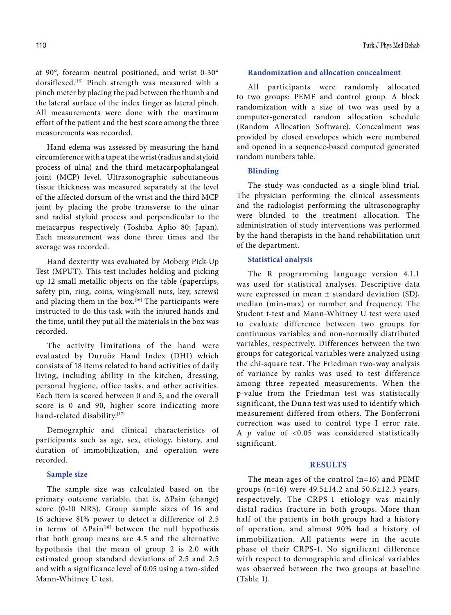at 90°, forearm neutral positioned, and wrist 0-30° dorsiflexed.[15] Pinch strength was measured with a pinch meter by placing the pad between the thumb and the lateral surface of the index finger as lateral pinch. All measurements were done with the maximum effort of the patient and the best score among the three measurements was recorded.

Hand edema was assessed by measuring the hand circumference with a tape at the wrist (radius and styloid process of ulna) and the third metacarpophalangeal joint (MCP) level. Ultrasonographic subcutaneous tissue thickness was measured separately at the level of the affected dorsum of the wrist and the third MCP joint by placing the probe transverse to the ulnar and radial styloid process and perpendicular to the metacarpus respectively (Toshiba Aplio 80; Japan). Each measurement was done three times and the average was recorded.

Hand dexterity was evaluated by Moberg Pick-Up Test (MPUT). This test includes holding and picking up 12 small metallic objects on the table (paperclips, safety pin, ring, coins, wing/small nuts, key, screws) and placing them in the box.<sup>[16]</sup> The participants were instructed to do this task with the injured hands and the time, until they put all the materials in the box was recorded.

The activity limitations of the hand were evaluated by Duruöz Hand Index (DHI) which consists of 18 items related to hand activities of daily living, including ability in the kitchen, dressing, personal hygiene, office tasks, and other activities. Each item is scored between 0 and 5, and the overall score is 0 and 90, higher score indicating more hand-related disability.<sup>[17]</sup>

Demographic and clinical characteristics of participants such as age, sex, etiology, history, and duration of immobilization, and operation were recorded.

#### **Sample size**

The sample size was calculated based on the primary outcome variable, that is, ΔPain (change) score (0-10 NRS). Group sample sizes of 16 and 16 achieve 81% power to detect a difference of 2.5 in terms of  $\Delta$ Pain<sup>[18]</sup> between the null hypothesis that both group means are 4.5 and the alternative hypothesis that the mean of group 2 is 2.0 with estimated group standard deviations of 2.5 and 2.5 and with a significance level of 0.05 using a two-sided Mann-Whitney U test.

### **Randomization and allocation concealment**

All participants were randomly allocated to two groups: PEMF and control group. A block randomization with a size of two was used by a computer-generated random allocation schedule (Random Allocation Software). Concealment was provided by closed envelopes which were numbered and opened in a sequence-based computed generated random numbers table.

#### **Blinding**

The study was conducted as a single-blind trial. The physician performing the clinical assessments and the radiologist performing the ultrasonography were blinded to the treatment allocation. The administration of study interventions was performed by the hand therapists in the hand rehabilitation unit of the department.

## **Statistical analysis**

The R programming language version 4.1.1 was used for statistical analyses. Descriptive data were expressed in mean ± standard deviation (SD), median (min-max) or number and frequency. The Student t-test and Mann-Whitney U test were used to evaluate difference between two groups for continuous variables and non-normally distributed variables, respectively. Differences between the two groups for categorical variables were analyzed using the chi-square test. The Friedman two-way analysis of variance by ranks was used to test difference among three repeated measurements. When the p-value from the Friedman test was statistically significant, the Dunn test was used to identify which measurement differed from others. The Bonferroni correction was used to control type I error rate. A *p* value of <0.05 was considered statistically significant.

# **RESULTS**

The mean ages of the control (n=16) and PEMF groups (n=16) were 49.5±14.2 and 50.6±12.3 years, respectively. The CRPS-1 etiology was mainly distal radius fracture in both groups. More than half of the patients in both groups had a history of operation, and almost 90% had a history of immobilization. All patients were in the acute phase of their CRPS-1. No significant difference with respect to demographic and clinical variables was observed between the two groups at baseline (Table 1).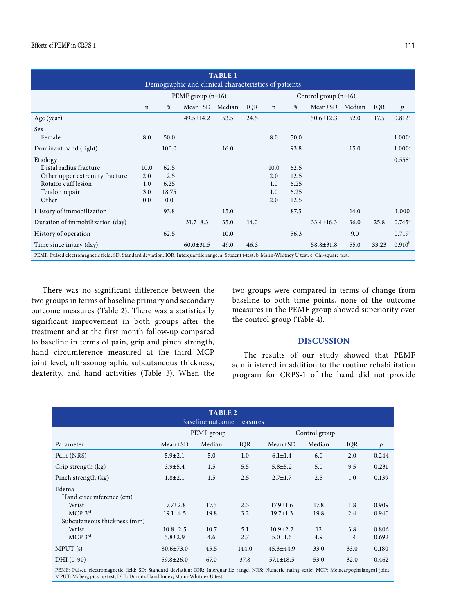| <b>TABLE 1</b><br>Demographic and clinical characteristics of patients                                                                               |             |                     |                 |        |      |                        |      |                 |        |       |                      |
|------------------------------------------------------------------------------------------------------------------------------------------------------|-------------|---------------------|-----------------|--------|------|------------------------|------|-----------------|--------|-------|----------------------|
|                                                                                                                                                      |             | PEMF group $(n=16)$ |                 |        |      | Control group $(n=16)$ |      |                 |        |       |                      |
|                                                                                                                                                      | $\mathbf n$ | $\%$                | Mean±SD         | Median | IQR  | $\mathbf n$            | $\%$ | Mean±SD         | Median | IQR   | $\mathfrak{p}$       |
| Age (year)                                                                                                                                           |             |                     | 49.5±14.2       | 53.5   | 24.5 |                        |      | $50.6 \pm 12.3$ | 52.0   | 17.5  | $0.812$ <sup>a</sup> |
| <b>Sex</b>                                                                                                                                           |             |                     |                 |        |      |                        |      |                 |        |       |                      |
| Female                                                                                                                                               | 8.0         | 50.0                |                 |        |      | 8.0                    | 50.0 |                 |        |       | 1.000 <sup>c</sup>   |
| Dominant hand (right)                                                                                                                                |             | 100.0               |                 | 16.0   |      |                        | 93.8 |                 | 15.0   |       | 1.000 <sup>c</sup>   |
| Etiology                                                                                                                                             |             |                     |                 |        |      |                        |      |                 |        |       | 0.558c               |
| Distal radius fracture                                                                                                                               | 10.0        | 62.5                |                 |        |      | 10.0                   | 62.5 |                 |        |       |                      |
| Other upper extremity fracture                                                                                                                       | 2.0         | 12.5                |                 |        |      | 2.0                    | 12.5 |                 |        |       |                      |
| Rotator cuff lesion                                                                                                                                  | 1.0         | 6.25                |                 |        |      | 1.0                    | 6.25 |                 |        |       |                      |
| Tendon repair                                                                                                                                        | 3.0         | 18.75               |                 |        |      | 1.0                    | 6.25 |                 |        |       |                      |
| Other                                                                                                                                                | 0.0         | 0.0                 |                 |        |      | 2.0                    | 12.5 |                 |        |       |                      |
| History of immobilization                                                                                                                            |             | 93.8                |                 | 15.0   |      |                        | 87.5 |                 | 14.0   |       | 1.000                |
| Duration of immobilization (day)                                                                                                                     |             |                     | $31.7 \pm 8.3$  | 35.0   | 14.0 |                        |      | $33.4 \pm 16.3$ | 36.0   | 25.8  | $0.745^{\circ}$      |
| History of operation                                                                                                                                 |             | 62.5                |                 | 10.0   |      |                        | 56.3 |                 | 9.0    |       | 0.719c               |
| Time since injury (day)                                                                                                                              |             |                     | $60.0 \pm 31.5$ | 49.0   | 46.3 |                        |      | $58.8 \pm 31.8$ | 55.0   | 33.23 | 0.910 <sup>b</sup>   |
| PEMF: Pulsed electromagnetic field; SD: Standard deviation; IQR: Interquartile range; a: Student t-test; b: Mann-Whitney U test; c: Chi-square test. |             |                     |                 |        |      |                        |      |                 |        |       |                      |

There was no significant difference between the two groups in terms of baseline primary and secondary outcome measures (Table 2). There was a statistically significant improvement in both groups after the treatment and at the first month follow-up compared to baseline in terms of pain, grip and pinch strength, hand circumference measured at the third MCP joint level, ultrasonographic subcutaneous thickness, dexterity, and hand activities (Table 3). When the two groups were compared in terms of change from baseline to both time points, none of the outcome measures in the PEMF group showed superiority over the control group (Table 4).

# **DISCUSSION**

The results of our study showed that PEMF administered in addition to the routine rehabilitation program for CRPS-1 of the hand did not provide

| <b>TABLE 2</b>                                                                                                                                   |                 |            |            |                 |        |      |               |  |  |  |
|--------------------------------------------------------------------------------------------------------------------------------------------------|-----------------|------------|------------|-----------------|--------|------|---------------|--|--|--|
| Baseline outcome measures                                                                                                                        |                 |            |            |                 |        |      |               |  |  |  |
|                                                                                                                                                  |                 | PEMF group |            | Control group   |        |      |               |  |  |  |
| Parameter                                                                                                                                        | $Mean \pm SD$   | Median     | <b>IQR</b> | $Mean \pm SD$   | Median | IQR  | $\mathcal{P}$ |  |  |  |
| Pain (NRS)                                                                                                                                       | $5.9 \pm 2.1$   | 5.0        | 1.0        | $6.1 \pm 1.4$   | 6.0    | 2.0  | 0.244         |  |  |  |
| Grip strength (kg)                                                                                                                               | $3.9 \pm 5.4$   | 1.5        | 5.5        | $5.8 \pm 5.2$   | 5.0    | 9.5  | 0.231         |  |  |  |
| Pinch strength (kg)                                                                                                                              | $1.8 \pm 2.1$   | 1.5        | 2.5        | $2.7 \pm 1.7$   | 2.5    | 1.0  | 0.139         |  |  |  |
| Edema                                                                                                                                            |                 |            |            |                 |        |      |               |  |  |  |
| Hand circumference (cm)                                                                                                                          |                 |            |            |                 |        |      |               |  |  |  |
| Wrist                                                                                                                                            | $17.7 \pm 2.8$  | 17.5       | 2.3        | $17.9 \pm 1.6$  | 17.8   | 1.8  | 0.909         |  |  |  |
| $MCP$ 3rd                                                                                                                                        | $19.1 \pm 4.5$  | 19.8       | 3.2        | $19.7 \pm 1.3$  | 19.8   | 2.4  | 0.940         |  |  |  |
| Subcutaneous thickness (mm)                                                                                                                      |                 |            |            |                 |        |      |               |  |  |  |
| Wrist                                                                                                                                            | $10.8 \pm 2.5$  | 10.7       | 5.1        | $10.9 \pm 2.2$  | 12     | 3.8  | 0.806         |  |  |  |
| $MCP$ 3rd                                                                                                                                        | $5.8 \pm 2.9$   | 4.6        | 2.7        | $5.0 \pm 1.6$   | 4.9    | 1.4  | 0.692         |  |  |  |
| MPUT(s)                                                                                                                                          | $80.6 \pm 73.0$ | 45.5       | 144.0      | $45.3 \pm 44.9$ | 33.0   | 33.0 | 0.180         |  |  |  |
| DHI (0-90)                                                                                                                                       | $59.8 \pm 26.0$ | 67.0       | 37.8       | $57.1 \pm 18.5$ | 53.0   | 32.0 | 0.462         |  |  |  |
| PEME: Pulsed electromagnetic field: SD: Standard deviation: IOR: Interquartile range: NRS: Numeric rating scale: MCP: Metacarpophalangeal joint: |                 |            |            |                 |        |      |               |  |  |  |

PEMF: Pulsed electromagnetic field; SD: Standard deviation; IQR: Interquartile range; NRS: Numeric rating scale; MCP: Metacarpophalangeal joint;<br>MPUT:Moberg pick up test; DHI:Duruöz Hand Index; Mann-Whitney U test.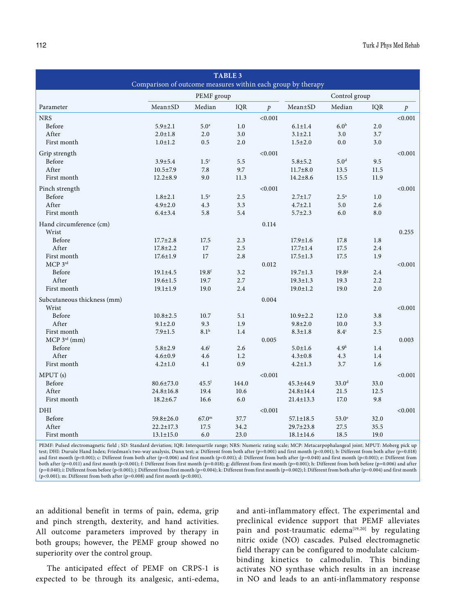|                             |                                                             |                   | <b>TABLE 3</b> |           |                 |                    |      |                  |  |  |
|-----------------------------|-------------------------------------------------------------|-------------------|----------------|-----------|-----------------|--------------------|------|------------------|--|--|
|                             | Comparison of outcome measures within each group by therapy |                   |                |           |                 |                    |      |                  |  |  |
|                             |                                                             | PEMF group        |                |           |                 | Control group      |      |                  |  |  |
| Parameter                   | $Mean \pm SD$                                               | Median            | IQR            | $\dot{p}$ | Mean±SD         | Median             | IQR  | $\boldsymbol{p}$ |  |  |
| <b>NRS</b>                  |                                                             |                   |                | < 0.001   |                 |                    |      | < 0.001          |  |  |
| Before                      | $5.9 \pm 2.1$                                               | 5.0 <sup>a</sup>  | 1.0            |           | $6.1 \pm 1.4$   | 6.0 <sup>b</sup>   | 2.0  |                  |  |  |
| After                       | $2.0 \pm 1.8$                                               | 2.0               | 3.0            |           | $3.1 \pm 2.1$   | 3.0                | 3.7  |                  |  |  |
| First month                 | $1.0 \pm 1.2$                                               | 0.5               | 2.0            |           | $1.5 \pm 2.0$   | 0.0                | 3.0  |                  |  |  |
| Grip strength               |                                                             |                   |                | < 0.001   |                 |                    |      | < 0.001          |  |  |
| Before                      | $3.9 + 5.4$                                                 | 1.5 <sup>c</sup>  | 5.5            |           | $5.8 + 5.2$     | 5.0 <sup>d</sup>   | 9.5  |                  |  |  |
| After                       | $10.5 \pm 7.9$                                              | 7.8               | 9.7            |           | $11.7 \pm 8.0$  | 13.5               | 11.5 |                  |  |  |
| First month                 | $12.2 \pm 8.9$                                              | 9.0               | 11.3           |           | $14.2 \pm 8.6$  | 15.5               | 11.9 |                  |  |  |
| Pinch strength              |                                                             |                   |                | < 0.001   |                 |                    |      | < 0.001          |  |  |
| Before                      | $1.8 \pm 2.1$                                               | 1.5 <sup>e</sup>  | 2.5            |           | $2.7 \pm 1.7$   | $2.5^{\circ}$      | 1.0  |                  |  |  |
| After                       | $4.9 \pm 2.0$                                               | 4.3               | 3.3            |           | $4.7 \pm 2.1$   | 5.0                | 2.6  |                  |  |  |
| First month                 | $6.4 \pm 3.4$                                               | 5.8               | 5.4            |           | $5.7 \pm 2.3$   | 6.0                | 8.0  |                  |  |  |
| Hand circumference (cm)     |                                                             |                   |                | 0.114     |                 |                    |      |                  |  |  |
| Wrist                       |                                                             |                   |                |           |                 |                    |      | 0.255            |  |  |
| Before                      | $17.7 \pm 2.8$                                              | 17.5              | 2.3            |           | $17.9 \pm 1.6$  | 17.8               | 1.8  |                  |  |  |
| After                       | $17.8 \pm 2.2$                                              | 17                | 2.5            |           | $17.7 \pm 1.4$  | 17.5               | 2.4  |                  |  |  |
| First month                 | $17.6 \pm 1.9$                                              | 17                | 2.8            |           | $17.5 \pm 1.3$  | 17.5               | 1.9  |                  |  |  |
| MCP 3rd                     |                                                             |                   |                | 0.012     |                 |                    |      | < 0.001          |  |  |
| Before                      | $19.1 \pm 4.5$                                              | 19.8 <sup>f</sup> | 3.2            |           | $19.7 \pm 1.3$  | 19.8g              | 2.4  |                  |  |  |
| After                       | $19.6 \pm 1.5$                                              | 19.7              | 2.7            |           | $19.3 \pm 1.3$  | 19.3               | 2.2  |                  |  |  |
| First month                 | $19.1 \pm 1.9$                                              | 19.0              | 2.4            |           | $19.0 \pm 1.2$  | 19.0               | 2.0  |                  |  |  |
| Subcutaneous thickness (mm) |                                                             |                   |                | 0.004     |                 |                    |      |                  |  |  |
| Wrist                       |                                                             |                   |                |           |                 |                    |      | < 0.001          |  |  |
| Before                      | $10.8 \pm 2.5$                                              | 10.7              | 5.1            |           | $10.9 \pm 2.2$  | 12.0               | 3.8  |                  |  |  |
| After                       | $9.1 \pm 2.0$                                               | 9.3               | 1.9            |           | $9.8 \pm 2.0$   | 10.0               | 3.3  |                  |  |  |
| First month                 | $7.9 \pm 1.5$                                               | 8.1 <sup>h</sup>  | 1.4            |           | $8.3 \pm 1.8$   | $8.4^{\mathrm{i}}$ | 2.5  |                  |  |  |
| $MCP$ 3 <sup>rd</sup> (mm)  |                                                             |                   |                | 0.005     |                 |                    |      | 0.003            |  |  |
| Before                      | $5.8 \pm 2.9$                                               | 4.6 <sup>j</sup>  | 2.6            |           | $5.0 \pm 1.6$   | 4.9 <sup>k</sup>   | 1.4  |                  |  |  |
| After                       | $4.6 \pm 0.9$                                               | 4.6               | 1.2            |           | $4.3 \pm 0.8$   | 4.3                | 1.4  |                  |  |  |
| First month                 | $4.2 \pm 1.0$                                               | 4.1               | 0.9            |           | $4.2 \pm 1.3$   | 3.7                | 1.6  |                  |  |  |
| MPUT (s)                    |                                                             |                   |                | < 0.001   |                 |                    |      | < 0.001          |  |  |
| Before                      | $80.6 \pm 73.0$                                             | 45.5 <sup>1</sup> | 144.0          |           | 45.3±44.9       | 33.0 <sup>d</sup>  | 33.0 |                  |  |  |
| After                       | $24.8 \pm 16.8$                                             | 19.4              | 10.6           |           | 24.8±14.4       | 21.5               | 12.5 |                  |  |  |
| First month                 | $18.2 \pm 6.7$                                              | 16.6              | 6.0            |           | $21.4 \pm 13.3$ | 17.0               | 9.8  |                  |  |  |
| $\rm{DHI}$                  |                                                             |                   |                | < 0.001   |                 |                    |      | < 0.001          |  |  |
| Before                      | $59.8 \pm 26.0$                                             | $67.0^{\rm m}$    | 37.7           |           | $57.1 \pm 18.5$ | $53.0^\circ$       | 32.0 |                  |  |  |
| After                       | $22.2 \pm 17.3$                                             | 17.5              | 34.2           |           | $29.7 \pm 23.8$ | 27.5               | 35.5 |                  |  |  |
| First month                 | $13.1 \pm 15.0$                                             | 6.0               | 23.0           |           | $18.1 \pm 14.6$ | 18.5               | 19.0 |                  |  |  |
| -- - -                      | $\sim$ $\sim$                                               |                   |                |           |                 |                    |      |                  |  |  |

PEMF: Pulsed electromagnetic field ; SD: Standard deviation; IQR: Interquartile range; NRS: Numeric rating scale; MCP: Metacarpophalangeal joint; MPUT: Moberg pick up test; DHI: Duruöz Hand Index; Friedman's two-way analysis, Dunn test; a: Different from both after (p=0.001) and first month (p<0.001); b: Different from both after (p=0.018) and first month (p<0.001); c: Different from both after (p=0.006) and first month (p<0.001); d: Different from both after (p=0.040) and first month (p<0.001); e: Different from both after (p=0.011) and first month (p<0.001); f: Different from first month (p=0.018); g: different from first month (p=0.001); h: Different from both before (p=0.006) and after (p=0.040); i: Different from before (p<0.001); j: Different from first month (p=0.004); k: Different from first month (p=0.002); l: Different from both after (p=0.004) and first month (p<0.001); m: Different from both after (p=0.008) and first month (p<0.001).

an additional benefit in terms of pain, edema, grip and pinch strength, dexterity, and hand activities. All outcome parameters improved by therapy in both groups; however, the PEMF group showed no superiority over the control group.

The anticipated effect of PEMF on CRPS-1 is expected to be through its analgesic, anti-edema, and anti-inflammatory effect. The experimental and preclinical evidence support that PEMF alleviates pain and post-traumatic edema<sup>[19,20]</sup> by regulating nitric oxide (NO) cascades. Pulsed electromagnetic field therapy can be configured to modulate calciumbinding kinetics to calmodulin. This binding activates NO synthase which results in an increase in NO and leads to an anti-inflammatory response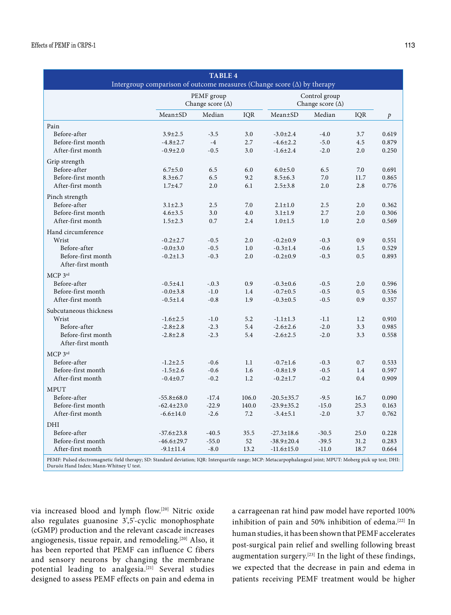| <b>TABLE 4</b>                                                                                                                                                |                                  |                         |            |                                  |                  |      |                  |  |  |
|---------------------------------------------------------------------------------------------------------------------------------------------------------------|----------------------------------|-------------------------|------------|----------------------------------|------------------|------|------------------|--|--|
| Intergroup comparison of outcome measures (Change score $(\Delta)$ by therapy<br>PEMF group<br>Control group                                                  |                                  |                         |            |                                  |                  |      |                  |  |  |
|                                                                                                                                                               |                                  | Change score $(\Delta)$ |            | Change score $(\Delta)$          |                  |      |                  |  |  |
|                                                                                                                                                               | $Mean \pm SD$                    | Median                  | <b>IQR</b> | Mean±SD                          | Median           | IQR  | $\boldsymbol{p}$ |  |  |
| Pain                                                                                                                                                          |                                  |                         |            |                                  |                  |      |                  |  |  |
| Before-after                                                                                                                                                  | $3.9 \pm 2.5$                    | $-3.5$                  | 3.0        | $-3.0 \pm 2.4$                   | $-4.0$           | 3.7  | 0.619            |  |  |
| Before-first month                                                                                                                                            | $-4.8 \pm 2.7$                   | $-4$                    | 2.7        | $-4.6 \pm 2.2$                   | $-5.0$           | 4.5  | 0.879            |  |  |
| After-first month                                                                                                                                             | $-0.9 \pm 2.0$                   | $-0.5$                  | 3.0        | $-1.6 \pm 2.4$                   | $-2.0$           | 2.0  | 0.250            |  |  |
| Grip strength                                                                                                                                                 |                                  |                         |            |                                  |                  |      |                  |  |  |
| Before-after                                                                                                                                                  | $6.7{\pm}5.0$                    | 6.5                     | 6.0        | $6.0 + 5.0$                      | 6.5              | 7.0  | 0.691            |  |  |
| Before-first month                                                                                                                                            | $8.3 \pm 6.7$                    | 6.5                     | 9.2        | $8.5 \pm 6.3$                    | 7.0              | 11.7 | 0.865            |  |  |
| After-first month                                                                                                                                             | $1.7 + 4.7$                      | 2.0                     | 6.1        | $2.5 \pm 3.8$                    | 2.0              | 2.8  | 0.776            |  |  |
| Pinch strength                                                                                                                                                |                                  |                         |            |                                  |                  |      |                  |  |  |
| Before-after                                                                                                                                                  | $3.1 \pm 2.3$                    | 2.5                     | 7.0        | $2.1 \pm 1.0$                    | 2.5              | 2.0  | 0.362            |  |  |
| Before-first month                                                                                                                                            | $4.6 \pm 3.5$                    | 3.0                     | 4.0        | $3.1 \pm 1.9$                    | 2.7              | 2.0  | 0.306            |  |  |
| After-first month                                                                                                                                             | $1.5 \pm 2.3$                    | 0.7                     | 2.4        | $1.0 + 1.5$                      | 1.0              | 2.0  | 0.569            |  |  |
| Hand circumference                                                                                                                                            |                                  |                         |            |                                  |                  |      |                  |  |  |
| Wrist                                                                                                                                                         | $-0.2 \pm 2.7$                   | $-0.5$                  | 2.0        | $-0.2 \pm 0.9$                   | $-0.3$           | 0.9  | 0.551            |  |  |
| Before-after                                                                                                                                                  | $-0.0{\pm}3.0$                   | $-0.5$                  | 1.0        | $-0.3 \pm 1.4$                   | $-0.6$           | 1.5  | 0.529            |  |  |
| Before-first month                                                                                                                                            | $-0.2 \pm 1.3$                   | $-0.3$                  | 2.0        | $-0.2 \pm 0.9$                   | $-0.3$           | 0.5  | 0.893            |  |  |
| After-first month                                                                                                                                             |                                  |                         |            |                                  |                  |      |                  |  |  |
| MCP 3rd                                                                                                                                                       |                                  |                         |            |                                  |                  |      |                  |  |  |
| Before-after                                                                                                                                                  | $-0.5 \pm 4.1$                   | $-.0.3$                 | 0.9        | $-0.3 \pm 0.6$                   | $-0.5$           | 2.0  | 0.596            |  |  |
| Before-first month                                                                                                                                            | $-0.0 \pm 3.8$                   | $-1.0$                  | 1.4        | $-0.7 \pm 0.5$                   | $-0.5$           | 0.5  | 0.536            |  |  |
| After-first month                                                                                                                                             | $-0.5 \pm 1.4$                   | $-0.8$                  | 1.9        | $-0.3 \pm 0.5$                   | $-0.5$           | 0.9  | 0.357            |  |  |
|                                                                                                                                                               |                                  |                         |            |                                  |                  |      |                  |  |  |
| Subcutaneous thickness<br>Wrist                                                                                                                               | $-1.6 \pm 2.5$                   | $-1.0$                  | 5.2        | $-1.1 \pm 1.3$                   | $-1.1$           | 1.2  | 0.910            |  |  |
| Before-after                                                                                                                                                  | $-2.8 \pm 2.8$                   | $-2.3$                  | 5.4        | $-2.6 \pm 2.6$                   | $-2.0$           | 3.3  | 0.985            |  |  |
| Before-first month                                                                                                                                            | $-2.8 \pm 2.8$                   | $-2.3$                  | 5.4        | $-2.6 \pm 2.5$                   | $-2.0$           | 3.3  | 0.558            |  |  |
| After-first month                                                                                                                                             |                                  |                         |            |                                  |                  |      |                  |  |  |
|                                                                                                                                                               |                                  |                         |            |                                  |                  |      |                  |  |  |
| MCP 3rd<br>Before-after                                                                                                                                       |                                  | $-0.6$                  | 1.1        |                                  |                  | 0.7  |                  |  |  |
| Before-first month                                                                                                                                            | $-1.2 \pm 2.5$<br>$-1.5 \pm 2.6$ | $-0.6$                  | 1.6        | $-0.7 \pm 1.6$<br>$-0.8 \pm 1.9$ | $-0.3$<br>$-0.5$ | 1.4  | 0.533<br>0.597   |  |  |
| After-first month                                                                                                                                             | $-0.4 \pm 0.7$                   | $-0.2$                  | 1.2        | $-0.2 \pm 1.7$                   | $-0.2$           | 0.4  | 0.909            |  |  |
|                                                                                                                                                               |                                  |                         |            |                                  |                  |      |                  |  |  |
| <b>MPUT</b>                                                                                                                                                   |                                  |                         |            |                                  |                  |      |                  |  |  |
| Before-after                                                                                                                                                  | $-55.8 \pm 68.0$                 | $-17.4$                 | 106.0      | $-20.5 \pm 35.7$                 | $-9.5$           | 16.7 | 0.090            |  |  |
| Before-first month                                                                                                                                            | $-62.4 \pm 23.0$                 | $-22.9$                 | 140.0      | $-23.9 \pm 35.2$                 | $-15.0$          | 25.3 | 0.163            |  |  |
| After-first month                                                                                                                                             | $-6.6 \pm 14.0$                  | $-2.6$                  | 7.2        | $-3.4 \pm 5.1$                   | $-2.0$           | 3.7  | 0.762            |  |  |
| DHI                                                                                                                                                           |                                  |                         |            |                                  |                  |      |                  |  |  |
| Before-after                                                                                                                                                  | $-37.6 \pm 23.8$                 | $-40.5$                 | 35.5       | $-27.3 \pm 18.6$                 | $-30.5$          | 25.0 | 0.228            |  |  |
| Before-first month                                                                                                                                            | $-46.6 \pm 29.7$                 | $-55.0$                 | 52         | $-38.9 \pm 20.4$                 | $-39.5$          | 31.2 | 0.283            |  |  |
| After-first month                                                                                                                                             | $-9.1 \pm 11.4$                  | $-8.0$                  | 13.2       | $-11.6 \pm 15.0$                 | $-11.0$          | 18.7 | 0.664            |  |  |
| PEMF: Pulsed electromagnetic field therapy; SD: Standard deviation; IQR: Interquartile range; MCP: Metacarpophalangeal joint; MPUT: Moberg pick up test; DHI: |                                  |                         |            |                                  |                  |      |                  |  |  |

Duruöz Hand Index; Mann-Whitney U test.

via increased blood and lymph flow.[20] Nitric oxide also regulates guanosine 3',5'-cyclic monophosphate (cGMP) production and the relevant cascade increases angiogenesis, tissue repair, and remodeling.[20] Also, it has been reported that PEMF can influence C fibers and sensory neurons by changing the membrane potential leading to analgesia.[21] Several studies designed to assess PEMF effects on pain and edema in

a carrageenan rat hind paw model have reported 100% inhibition of pain and 50% inhibition of edema.<sup>[22]</sup> In human studies, it has been shown that PEMF accelerates post-surgical pain relief and swelling following breast augmentation surgery.[23] In the light of these findings, we expected that the decrease in pain and edema in patients receiving PEMF treatment would be higher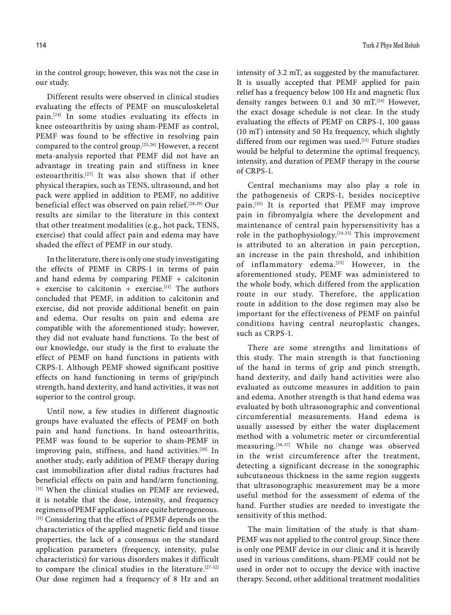in the control group; however, this was not the case in our study.

Different results were observed in clinical studies evaluating the effects of PEMF on musculoskeletal pain.[24] In some studies evaluating its effects in knee osteoarthritis by using sham-PEMF as control, PEMF was found to be effective in resolving pain compared to the control group.[25,26] However, a recent meta-analysis reported that PEMF did not have an advantage in treating pain and stiffness in knee osteoarthritis.[27] It was also shown that if other physical therapies, such as TENS, ultrasound, and hot pack were applied in addition to PEMF, no additive beneficial effect was observed on pain relief.[28,29] Our results are similar to the literature in this context that other treatment modalities (e.g., hot pack, TENS, exercise) that could affect pain and edema may have shaded the effect of PEMF in our study.

In the literature, there is only one study investigating the effects of PEMF in CRPS-1 in terms of pain and hand edema by comparing PEMF + calcitonin + exercise to calcitonin + exercise.[11] The authors concluded that PEMF, in addition to calcitonin and exercise, did not provide additional benefit on pain and edema. Our results on pain and edema are compatible with the aforementioned study; however, they did not evaluate hand functions. To the best of our knowledge, our study is the first to evaluate the effect of PEMF on hand functions in patients with CRPS-1. Although PEMF showed significant positive effects on hand functioning in terms of grip/pinch strength, hand dexterity, and hand activities, it was not superior to the control group.

Until now, a few studies in different diagnostic groups have evaluated the effects of PEMF on both pain and hand functions. In hand osteoarthritis, PEMF was found to be superior to sham-PEMF in improving pain, stiffness, and hand activities.<sup>[30]</sup> In another study, early addition of PEMF therapy during cast immobilization after distal radius fractures had beneficial effects on pain and hand/arm functioning. [31] When the clinical studies on PEMF are reviewed, it is notable that the dose, intensity, and frequency regimens of PEMF applications are quite heterogeneous. [31] Considering that the effect of PEMF depends on the characteristics of the applied magnetic field and tissue properties, the lack of a consensus on the standard application parameters (frequency, intensity, pulse characteristics) for various disorders makes it difficult to compare the clinical studies in the literature.<sup>[27-32]</sup> Our dose regimen had a frequency of 8 Hz and an

intensity of 3.2 mT, as suggested by the manufacturer. It is usually accepted that PEMF applied for pain relief has a frequency below 100 Hz and magnetic flux density ranges between 0.1 and 30 mT.[24] However, the exact dosage schedule is not clear. In the study evaluating the effects of PEMF on CRPS-1, 100 gauss (10 mT) intensity and 50 Hz frequency, which slightly differed from our regimen was used.<sup>[11]</sup> Future studies would be helpful to determine the optimal frequency, intensity, and duration of PEMF therapy in the course of CRPS-1.

Central mechanisms may also play a role in the pathogenesis of CRPS-1, besides nociceptive pain.[33] It is reported that PEMF may improve pain in fibromyalgia where the development and maintenance of central pain hypersensitivity has a role in the pathophysiology. $[34,35]$  This improvement is attributed to an alteration in pain perception, an increase in the pain threshold, and inhibition of inflammatory edema.<sup>[35]</sup> However, in the aforementioned study, PEMF was administered to the whole body, which differed from the application route in our study. Therefore, the application route in addition to the dose regimen may also be important for the effectiveness of PEMF on painful conditions having central neuroplastic changes, such as CRPS-1.

There are some strengths and limitations of this study. The main strength is that functioning of the hand in terms of grip and pinch strength, hand dexterity, and daily hand activities were also evaluated as outcome measures in addition to pain and edema. Another strength is that hand edema was evaluated by both ultrasonographic and conventional circumferential measurements. Hand edema is usually assessed by either the water displacement method with a volumetric meter or circumferential measuring.[36,37] While no change was observed in the wrist circumference after the treatment, detecting a significant decrease in the sonographic subcutaneous thickness in the same region suggests that ultrasonographic measurement may be a more useful method for the assessment of edema of the hand. Further studies are needed to investigate the sensitivity of this method.

The main limitation of the study is that sham-PEMF was not applied to the control group. Since there is only one PEMF device in our clinic and it is heavily used in various conditions, sham-PEMF could not be used in order not to occupy the device with inactive therapy. Second, other additional treatment modalities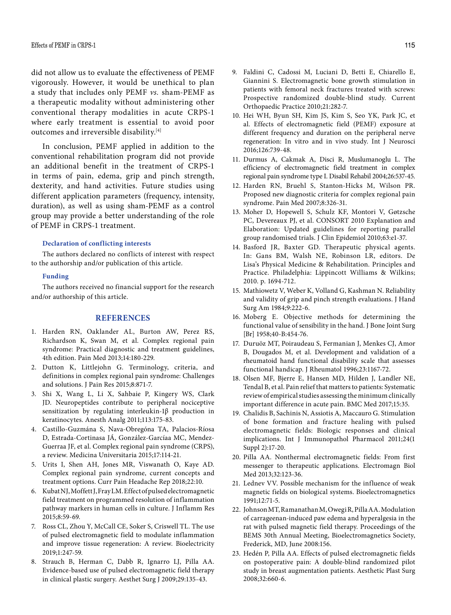did not allow us to evaluate the effectiveness of PEMF vigorously. However, it would be unethical to plan a study that includes only PEMF *vs.* sham-PEMF as a therapeutic modality without administering other conventional therapy modalities in acute CRPS-1 where early treatment is essential to avoid poor outcomes and irreversible disability.<sup>[4]</sup>

In conclusion, PEMF applied in addition to the conventional rehabilitation program did not provide an additional benefit in the treatment of CRPS-1 in terms of pain, edema, grip and pinch strength, dexterity, and hand activities. Future studies using different application parameters (frequency, intensity, duration), as well as using sham-PEMF as a control group may provide a better understanding of the role of PEMF in CRPS-1 treatment.

#### **Declaration of conflicting interests**

The authors declared no conflicts of interest with respect to the authorship and/or publication of this article.

#### **Funding**

The authors received no financial support for the research and/or authorship of this article.

## **REFERENCES**

- 1. Harden RN, Oaklander AL, Burton AW, Perez RS, Richardson K, Swan M, et al. Complex regional pain syndrome: Practical diagnostic and treatment guidelines, 4th edition. Pain Med 2013;14:180-229.
- 2. Dutton K, Littlejohn G. Terminology, criteria, and definitions in complex regional pain syndrome: Challenges and solutions. J Pain Res 2015;8:871-7.
- 3. Shi X, Wang L, Li X, Sahbaie P, Kingery WS, Clark JD. Neuropeptides contribute to peripheral nociceptive sensitization by regulating interleukin-1β production in keratinocytes. Anesth Analg 2011;113:175-83.
- 4. Castillo-Guzmána S, Nava-Obregóna TA, Palacios-Ríosa D, Estrada-Cortinasa JÁ, González-Garcíaa MC, Mendez-Guerraa JF, et al. Complex regional pain syndrome (CRPS), a review. Medicina Universitaria 2015;17:114-21.
- 5. Urits I, Shen AH, Jones MR, Viswanath O, Kaye AD. Complex regional pain syndrome, current concepts and treatment options. Curr Pain Headache Rep 2018;22:10.
- 6. Kubat NJ, Moffett J, Fray LM. Effect of pulsed electromagnetic field treatment on programmed resolution of inflammation pathway markers in human cells in culture. J Inflamm Res 2015;8:59-69.
- 7. Ross CL, Zhou Y, McCall CE, Soker S, Criswell TL. The use of pulsed electromagnetic field to modulate inflammation and improve tissue regeneration: A review. Bioelectricity 2019;1:247-59.
- 8. Strauch B, Herman C, Dabb R, Ignarro LJ, Pilla AA. Evidence-based use of pulsed electromagnetic field therapy in clinical plastic surgery. Aesthet Surg J 2009;29:135-43.
- 9. Faldini C, Cadossi M, Luciani D, Betti E, Chiarello E, Giannini S. Electromagnetic bone growth stimulation in patients with femoral neck fractures treated with screws: Prospective randomized double-blind study. Current Orthopaedic Practice 2010;21:282-7.
- 10. Hei WH, Byun SH, Kim JS, Kim S, Seo YK, Park JC, et al. Effects of electromagnetic field (PEMF) exposure at different frequency and duration on the peripheral nerve regeneration: In vitro and in vivo study. Int J Neurosci 2016;126:739-48.
- 11. Durmus A, Cakmak A, Disci R, Muslumanoglu L. The efficiency of electromagnetic field treatment in complex regional pain syndrome type I. Disabil Rehabil 2004;26:537-45.
- 12. Harden RN, Bruehl S, Stanton-Hicks M, Wilson PR. Proposed new diagnostic criteria for complex regional pain syndrome. Pain Med 2007;8:326-31.
- 13. Moher D, Hopewell S, Schulz KF, Montori V, Gøtzsche PC, Devereaux PJ, et al. CONSORT 2010 Explanation and Elaboration: Updated guidelines for reporting parallel group randomised trials. J Clin Epidemiol 2010;63:e1-37.
- 14. Basford JR, Baxter GD. Therapeutic physical agents. In: Gans BM, Walsh NE, Robinson LR, editors. De Lisa's Physical Medicine & Rehabilitation. Principles and Practice. Philadelphia: Lippincott Williams & Wilkins; 2010. p. 1694-712.
- 15. Mathiowetz V, Weber K, Volland G, Kashman N. Reliability and validity of grip and pinch strength evaluations. J Hand Surg Am 1984;9:222-6.
- 16. Moberg E. Objective methods for determining the functional value of sensibility in the hand. J Bone Joint Surg [Br] 1958;40-B:454-76.
- 17. Duruöz MT, Poiraudeau S, Fermanian J, Menkes CJ, Amor B, Dougados M, et al. Development and validation of a rheumatoid hand functional disability scale that assesses functional handicap. J Rheumatol 1996;23:1167-72.
- 18. Olsen MF, Bjerre E, Hansen MD, Hilden J, Landler NE, Tendal B, et al. Pain relief that matters to patients: Systematic review of empirical studies assessing the minimum clinically important difference in acute pain. BMC Med 2017;15:35.
- 19. Chalidis B, Sachinis N, Assiotis A, Maccauro G. Stimulation of bone formation and fracture healing with pulsed electromagnetic fields: Biologic responses and clinical implications. Int J Immunopathol Pharmacol 2011;24(1 Suppl 2):17-20.
- 20. Pilla AA. Nonthermal electromagnetic fields: From first messenger to therapeutic applications. Electromagn Biol Med 2013;32:123-36.
- 21. Lednev VV. Possible mechanism for the influence of weak magnetic fields on biological systems. Bioelectromagnetics 1991;12:71-5.
- 22. Johnson MT, Ramanathan M, Owegi R, Pilla AA. Modulation of carrageenan-induced paw edema and hyperalgesia in the rat with pulsed magnetic field therapy. Proceedings of the BEMS 30th Annual Meeting, Bioelectromagnetics Society, Frederick, MD, June 2008:156.
- 23. Hedén P, Pilla AA. Effects of pulsed electromagnetic fields on postoperative pain: A double-blind randomized pilot study in breast augmentation patients. Aesthetic Plast Surg 2008;32:660-6.